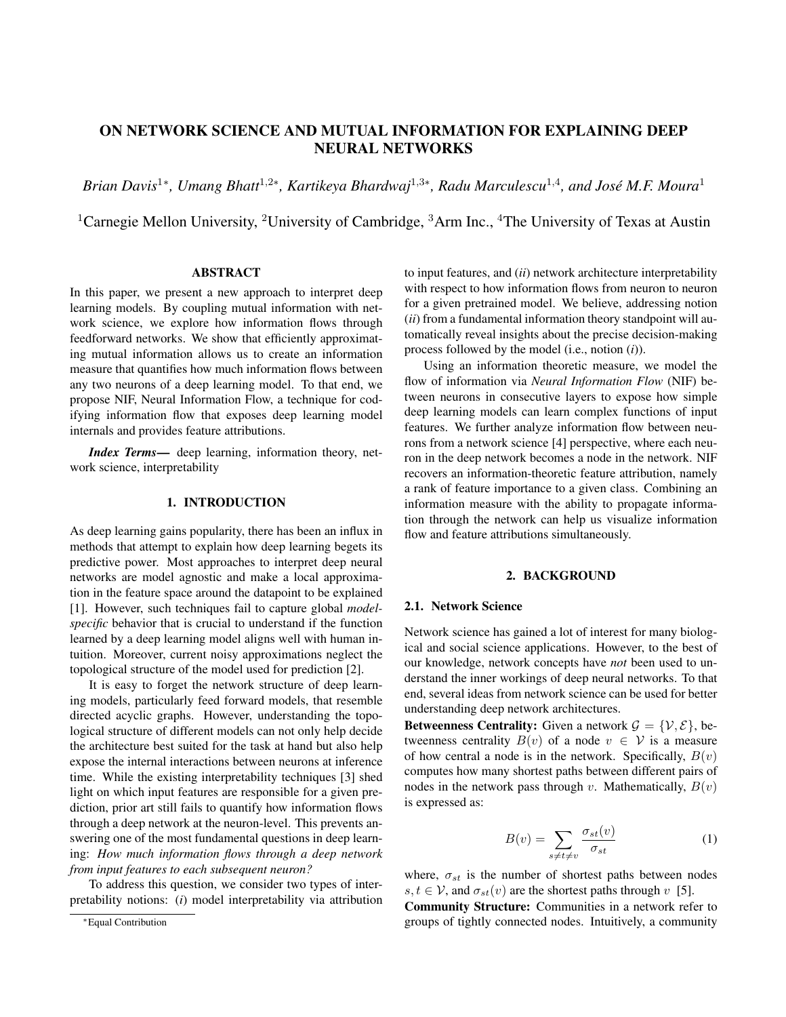# ON NETWORK SCIENCE AND MUTUAL INFORMATION FOR EXPLAINING DEEP NEURAL NETWORKS

*Brian Davis*<sup>1</sup>\*, Umang Bhatt<sup>1,2</sup>\*, Kartikeya Bhardwaj<sup>1,3</sup>\*, Radu Marculescu<sup>1,4</sup>, and José M.F. Moura<sup>1</sup>

<sup>1</sup>Carnegie Mellon University, <sup>2</sup>University of Cambridge,  ${}^{3}$ Arm Inc., <sup>4</sup>The University of Texas at Austin

# ABSTRACT

In this paper, we present a new approach to interpret deep learning models. By coupling mutual information with network science, we explore how information flows through feedforward networks. We show that efficiently approximating mutual information allows us to create an information measure that quantifies how much information flows between any two neurons of a deep learning model. To that end, we propose NIF, Neural Information Flow, a technique for codifying information flow that exposes deep learning model internals and provides feature attributions.

*Index Terms*— deep learning, information theory, network science, interpretability

# 1. INTRODUCTION

As deep learning gains popularity, there has been an influx in methods that attempt to explain how deep learning begets its predictive power. Most approaches to interpret deep neural networks are model agnostic and make a local approximation in the feature space around the datapoint to be explained [1]. However, such techniques fail to capture global *modelspecific* behavior that is crucial to understand if the function learned by a deep learning model aligns well with human intuition. Moreover, current noisy approximations neglect the topological structure of the model used for prediction [2].

It is easy to forget the network structure of deep learning models, particularly feed forward models, that resemble directed acyclic graphs. However, understanding the topological structure of different models can not only help decide the architecture best suited for the task at hand but also help expose the internal interactions between neurons at inference time. While the existing interpretability techniques [3] shed light on which input features are responsible for a given prediction, prior art still fails to quantify how information flows through a deep network at the neuron-level. This prevents answering one of the most fundamental questions in deep learning: *How much information flows through a deep network from input features to each subsequent neuron?*

To address this question, we consider two types of interpretability notions: (*i*) model interpretability via attribution to input features, and (*ii*) network architecture interpretability with respect to how information flows from neuron to neuron for a given pretrained model. We believe, addressing notion (*ii*) from a fundamental information theory standpoint will automatically reveal insights about the precise decision-making process followed by the model (i.e., notion (*i*)).

Using an information theoretic measure, we model the flow of information via *Neural Information Flow* (NIF) between neurons in consecutive layers to expose how simple deep learning models can learn complex functions of input features. We further analyze information flow between neurons from a network science [4] perspective, where each neuron in the deep network becomes a node in the network. NIF recovers an information-theoretic feature attribution, namely a rank of feature importance to a given class. Combining an information measure with the ability to propagate information through the network can help us visualize information flow and feature attributions simultaneously.

### 2. BACKGROUND

### 2.1. Network Science

Network science has gained a lot of interest for many biological and social science applications. However, to the best of our knowledge, network concepts have *not* been used to understand the inner workings of deep neural networks. To that end, several ideas from network science can be used for better understanding deep network architectures.

Betweenness Centrality: Given a network  $\mathcal{G} = \{ \mathcal{V}, \mathcal{E} \}$ , betweenness centrality  $B(v)$  of a node  $v \in V$  is a measure of how central a node is in the network. Specifically,  $B(v)$ computes how many shortest paths between different pairs of nodes in the network pass through v. Mathematically,  $B(v)$ is expressed as:

$$
B(v) = \sum_{s \neq t \neq v} \frac{\sigma_{st}(v)}{\sigma_{st}} \tag{1}
$$

where,  $\sigma_{st}$  is the number of shortest paths between nodes  $s, t \in V$ , and  $\sigma_{st}(v)$  are the shortest paths through v [5].

Community Structure: Communities in a network refer to groups of tightly connected nodes. Intuitively, a community

<sup>∗</sup>Equal Contribution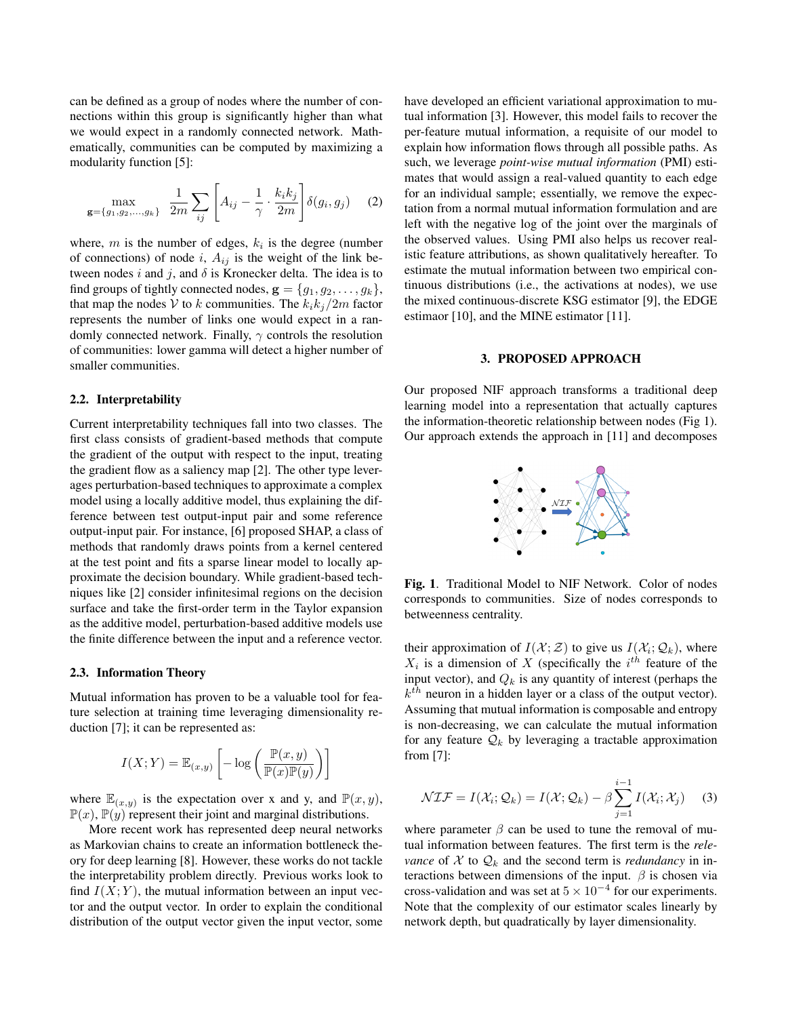can be defined as a group of nodes where the number of connections within this group is significantly higher than what we would expect in a randomly connected network. Mathematically, communities can be computed by maximizing a modularity function [5]:

$$
\max_{\mathbf{g}=\{g_1,g_2,\ldots,g_k\}} \frac{1}{2m} \sum_{ij} \left[ A_{ij} - \frac{1}{\gamma} \cdot \frac{k_i k_j}{2m} \right] \delta(g_i, g_j) \quad (2)
$$

where,  $m$  is the number of edges,  $k_i$  is the degree (number of connections) of node i,  $A_{ij}$  is the weight of the link between nodes i and j, and  $\delta$  is Kronecker delta. The idea is to find groups of tightly connected nodes,  $\mathbf{g} = \{g_1, g_2, \dots, g_k\},\$ that map the nodes V to k communities. The  $k_i k_j/2m$  factor represents the number of links one would expect in a randomly connected network. Finally,  $\gamma$  controls the resolution of communities: lower gamma will detect a higher number of smaller communities.

### 2.2. Interpretability

Current interpretability techniques fall into two classes. The first class consists of gradient-based methods that compute the gradient of the output with respect to the input, treating the gradient flow as a saliency map [2]. The other type leverages perturbation-based techniques to approximate a complex model using a locally additive model, thus explaining the difference between test output-input pair and some reference output-input pair. For instance, [6] proposed SHAP, a class of methods that randomly draws points from a kernel centered at the test point and fits a sparse linear model to locally approximate the decision boundary. While gradient-based techniques like [2] consider infinitesimal regions on the decision surface and take the first-order term in the Taylor expansion as the additive model, perturbation-based additive models use the finite difference between the input and a reference vector.

#### 2.3. Information Theory

Mutual information has proven to be a valuable tool for feature selection at training time leveraging dimensionality reduction [7]; it can be represented as:

$$
I(X;Y) = \mathbb{E}_{(x,y)} \left[ -\log \left( \frac{\mathbb{P}(x,y)}{\mathbb{P}(x)\mathbb{P}(y)} \right) \right]
$$

where  $\mathbb{E}_{(x,y)}$  is the expectation over x and y, and  $\mathbb{P}(x,y)$ ,  $\mathbb{P}(x)$ ,  $\mathbb{P}(y)$  represent their joint and marginal distributions.

More recent work has represented deep neural networks as Markovian chains to create an information bottleneck theory for deep learning [8]. However, these works do not tackle the interpretability problem directly. Previous works look to find  $I(X; Y)$ , the mutual information between an input vector and the output vector. In order to explain the conditional distribution of the output vector given the input vector, some have developed an efficient variational approximation to mutual information [3]. However, this model fails to recover the per-feature mutual information, a requisite of our model to explain how information flows through all possible paths. As such, we leverage *point-wise mutual information* (PMI) estimates that would assign a real-valued quantity to each edge for an individual sample; essentially, we remove the expectation from a normal mutual information formulation and are left with the negative log of the joint over the marginals of the observed values. Using PMI also helps us recover realistic feature attributions, as shown qualitatively hereafter. To estimate the mutual information between two empirical continuous distributions (i.e., the activations at nodes), we use the mixed continuous-discrete KSG estimator [9], the EDGE estimaor [10], and the MINE estimator [11].

#### 3. PROPOSED APPROACH

Our proposed NIF approach transforms a traditional deep learning model into a representation that actually captures the information-theoretic relationship between nodes (Fig 1). Our approach extends the approach in [11] and decomposes



Fig. 1. Traditional Model to NIF Network. Color of nodes corresponds to communities. Size of nodes corresponds to betweenness centrality.

their approximation of  $I(\mathcal{X}; \mathcal{Z})$  to give us  $I(\mathcal{X}_i; \mathcal{Q}_k)$ , where  $X_i$  is a dimension of X (specifically the  $i^{th}$  feature of the input vector), and  $Q_k$  is any quantity of interest (perhaps the  $k<sup>th</sup>$  neuron in a hidden layer or a class of the output vector). Assuming that mutual information is composable and entropy is non-decreasing, we can calculate the mutual information for any feature  $\mathcal{Q}_k$  by leveraging a tractable approximation from [7]:

$$
\mathcal{NIF} = I(\mathcal{X}_i; \mathcal{Q}_k) = I(\mathcal{X}; \mathcal{Q}_k) - \beta \sum_{j=1}^{i-1} I(\mathcal{X}_i; \mathcal{X}_j)
$$
(3)

where parameter  $\beta$  can be used to tune the removal of mutual information between features. The first term is the *relevance* of  $X$  to  $Q_k$  and the second term is *redundancy* in interactions between dimensions of the input.  $\beta$  is chosen via cross-validation and was set at  $5 \times 10^{-4}$  for our experiments. Note that the complexity of our estimator scales linearly by network depth, but quadratically by layer dimensionality.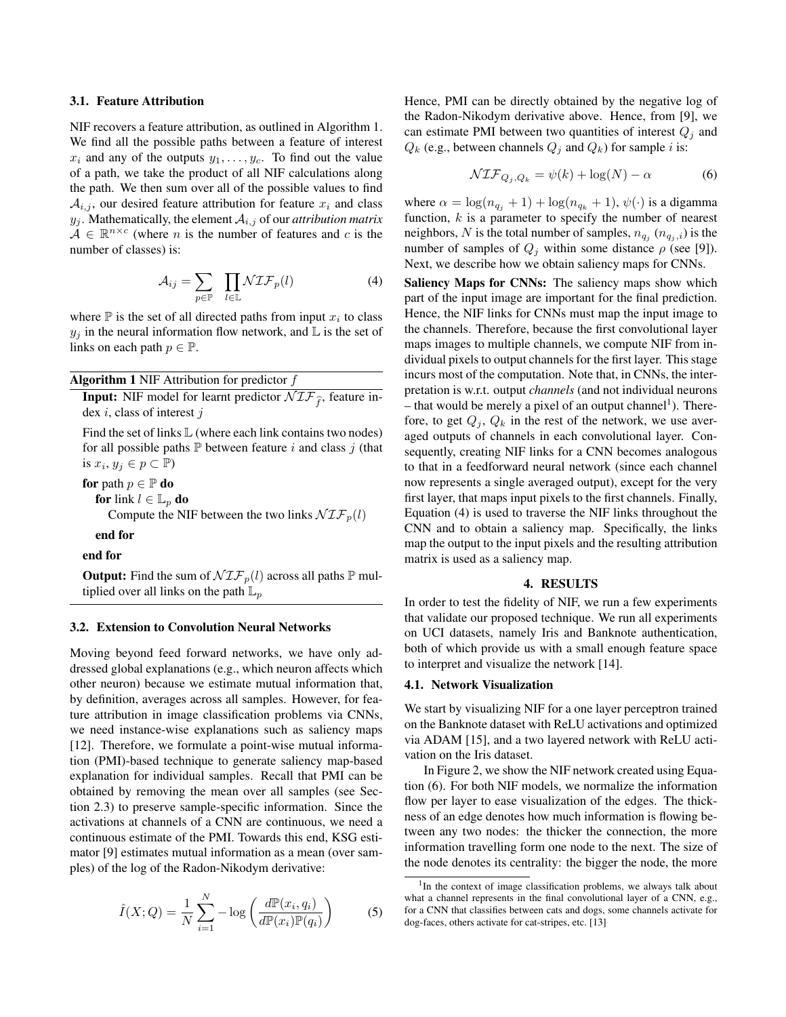#### 3.1. Feature Attribution

NIF recovers a feature attribution, as outlined in Algorithm 1. We find all the possible paths between a feature of interest  $x_i$  and any of the outputs  $y_1, \ldots, y_c$ . To find out the value of a path, we take the product of all NIF calculations along the path. We then sum over all of the possible values to find  $A_{i,j}$ , our desired feature attribution for feature  $x_i$  and class  $y_j$ . Mathematically, the element  $A_{i,j}$  of our *attribution matrix*  $\mathcal{A} \in \mathbb{R}^{n \times c}$  (where *n* is the number of features and *c* is the number of classes) is:

$$
\mathcal{A}_{ij} = \sum_{p \in \mathbb{P}} \prod_{l \in \mathbb{L}} \mathcal{NIF}_p(l) \tag{4}
$$

where  $\mathbb P$  is the set of all directed paths from input  $x_i$  to class  $y_j$  in the neural information flow network, and L is the set of links on each path  $p \in \mathbb{P}$ .

|  |  |  | <b>Algorithm 1</b> NIF Attribution for predictor $f$ |  |  |  |
|--|--|--|------------------------------------------------------|--|--|--|
|--|--|--|------------------------------------------------------|--|--|--|

**Input:** NIF model for learnt predictor  $\mathcal{NIF}_{\hat{f}}$ , feature index i, class of interest j

Find the set of links  $\mathbb L$  (where each link contains two nodes) for all possible paths  $\mathbb P$  between feature i and class j (that is  $x_i, y_j \in p \subset \mathbb{P}$ )

for path  $p \in \mathbb{P}$  do for link  $l \in \mathbb{L}_p$  do Compute the NIF between the two links  $\mathcal{NIF}_p(l)$ 

end for

end for

**Output:** Find the sum of  $\mathcal{NIF}_p(l)$  across all paths  $\mathbb{P}$  multiplied over all links on the path  $\mathbb{L}_p$ 

# 3.2. Extension to Convolution Neural Networks

Moving beyond feed forward networks, we have only addressed global explanations (e.g., which neuron affects which other neuron) because we estimate mutual information that, by definition, averages across all samples. However, for feature attribution in image classification problems via CNNs, we need instance-wise explanations such as saliency maps [12]. Therefore, we formulate a point-wise mutual information (PMI)-based technique to generate saliency map-based explanation for individual samples. Recall that PMI can be obtained by removing the mean over all samples (see Section 2.3) to preserve sample-specific information. Since the activations at channels of a CNN are continuous, we need a continuous estimate of the PMI. Towards this end, KSG estimator [9] estimates mutual information as a mean (over samples) of the log of the Radon-Nikodym derivative:

$$
\hat{I}(X;Q) = \frac{1}{N} \sum_{i=1}^{N} -\log\left(\frac{d\mathbb{P}(x_i, q_i)}{d\mathbb{P}(x_i)\mathbb{P}(q_i)}\right)
$$
(5)

Hence, PMI can be directly obtained by the negative log of the Radon-Nikodym derivative above. Hence, from [9], we can estimate PMI between two quantities of interest  $Q_i$  and  $Q_k$  (e.g., between channels  $Q_j$  and  $Q_k$ ) for sample i is:

$$
\mathcal{NIF}_{Q_j, Q_k} = \psi(k) + \log(N) - \alpha \tag{6}
$$

where  $\alpha = \log(n_{q_j} + 1) + \log(n_{q_k} + 1)$ ,  $\psi(\cdot)$  is a digamma function,  $k$  is a parameter to specify the number of nearest neighbors, N is the total number of samples,  $n_{q_j}(n_{q_j,i})$  is the number of samples of  $Q_j$  within some distance  $\rho$  (see [9]). Next, we describe how we obtain saliency maps for CNNs.

Saliency Maps for CNNs: The saliency maps show which part of the input image are important for the final prediction. Hence, the NIF links for CNNs must map the input image to the channels. Therefore, because the first convolutional layer maps images to multiple channels, we compute NIF from individual pixels to output channels for the first layer. This stage incurs most of the computation. Note that, in CNNs, the interpretation is w.r.t. output *channels* (and not individual neurons  $-$  that would be merely a pixel of an output channel<sup>1</sup>). Therefore, to get  $Q_i$ ,  $Q_k$  in the rest of the network, we use averaged outputs of channels in each convolutional layer. Consequently, creating NIF links for a CNN becomes analogous to that in a feedforward neural network (since each channel now represents a single averaged output), except for the very first layer, that maps input pixels to the first channels. Finally, Equation (4) is used to traverse the NIF links throughout the CNN and to obtain a saliency map. Specifically, the links map the output to the input pixels and the resulting attribution matrix is used as a saliency map.

### 4. RESULTS

In order to test the fidelity of NIF, we run a few experiments that validate our proposed technique. We run all experiments on UCI datasets, namely Iris and Banknote authentication, both of which provide us with a small enough feature space to interpret and visualize the network [14].

# 4.1. Network Visualization

We start by visualizing NIF for a one layer perceptron trained on the Banknote dataset with ReLU activations and optimized via ADAM [15], and a two layered network with ReLU activation on the Iris dataset.

In Figure 2, we show the NIF network created using Equation (6). For both NIF models, we normalize the information flow per layer to ease visualization of the edges. The thickness of an edge denotes how much information is flowing between any two nodes: the thicker the connection, the more information travelling form one node to the next. The size of the node denotes its centrality: the bigger the node, the more

<sup>&</sup>lt;sup>1</sup>In the context of image classification problems, we always talk about what a channel represents in the final convolutional layer of a CNN, e.g., for a CNN that classifies between cats and dogs, some channels activate for dog-faces, others activate for cat-stripes, etc. [13]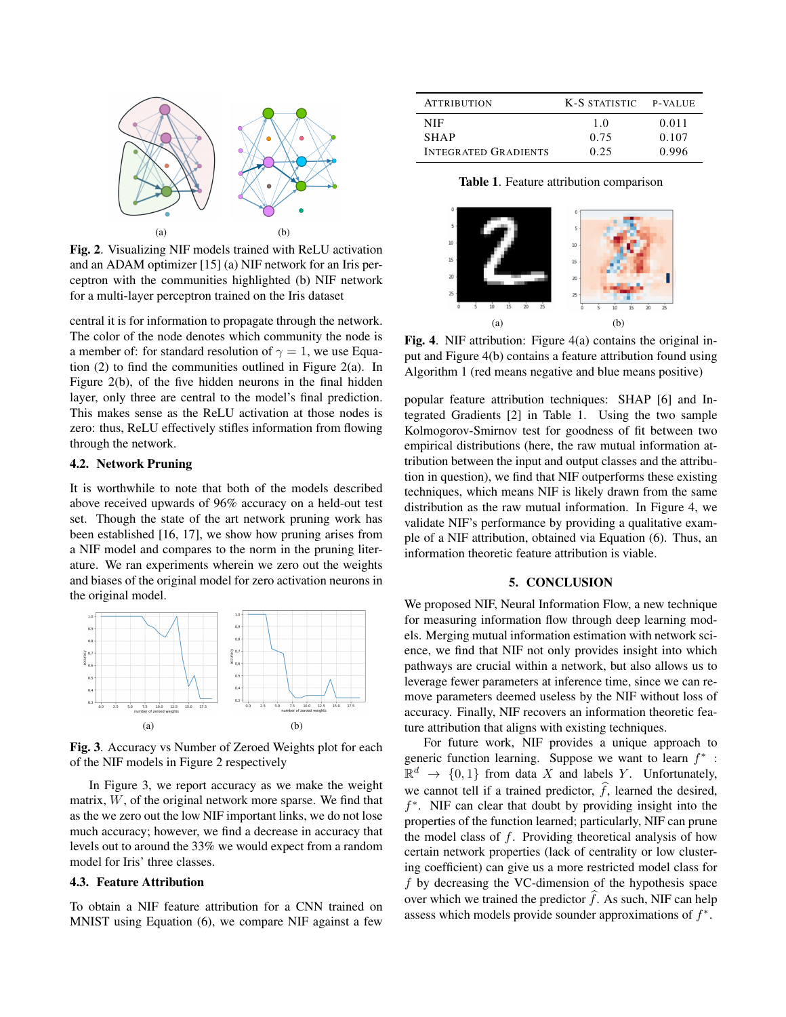

Fig. 2. Visualizing NIF models trained with ReLU activation and an ADAM optimizer [15] (a) NIF network for an Iris perceptron with the communities highlighted (b) NIF network for a multi-layer perceptron trained on the Iris dataset

central it is for information to propagate through the network. The color of the node denotes which community the node is a member of: for standard resolution of  $\gamma = 1$ , we use Equation (2) to find the communities outlined in Figure 2(a). In Figure 2(b), of the five hidden neurons in the final hidden layer, only three are central to the model's final prediction. This makes sense as the ReLU activation at those nodes is zero: thus, ReLU effectively stifles information from flowing through the network.

# 4.2. Network Pruning

It is worthwhile to note that both of the models described above received upwards of 96% accuracy on a held-out test set. Though the state of the art network pruning work has been established [16, 17], we show how pruning arises from a NIF model and compares to the norm in the pruning literature. We ran experiments wherein we zero out the weights and biases of the original model for zero activation neurons in the original model.



Fig. 3. Accuracy vs Number of Zeroed Weights plot for each of the NIF models in Figure 2 respectively

In Figure 3, we report accuracy as we make the weight matrix, W, of the original network more sparse. We find that as the we zero out the low NIF important links, we do not lose much accuracy; however, we find a decrease in accuracy that levels out to around the 33% we would expect from a random model for Iris' three classes.

# 4.3. Feature Attribution

To obtain a NIF feature attribution for a CNN trained on MNIST using Equation (6), we compare NIF against a few

| <b>ATTRIBUTION</b>          | K-S STATISTIC P-VALUE |       |
|-----------------------------|-----------------------|-------|
| NIF.                        | 1.0                   | 0.011 |
| <b>SHAP</b>                 | 0.75                  | 0.107 |
| <b>INTEGRATED GRADIENTS</b> | 0.25                  | 0.996 |

Table 1. Feature attribution comparison



Fig. 4. NIF attribution: Figure 4(a) contains the original input and Figure 4(b) contains a feature attribution found using Algorithm 1 (red means negative and blue means positive)

popular feature attribution techniques: SHAP [6] and Integrated Gradients [2] in Table 1. Using the two sample Kolmogorov-Smirnov test for goodness of fit between two empirical distributions (here, the raw mutual information attribution between the input and output classes and the attribution in question), we find that NIF outperforms these existing techniques, which means NIF is likely drawn from the same distribution as the raw mutual information. In Figure 4, we validate NIF's performance by providing a qualitative example of a NIF attribution, obtained via Equation (6). Thus, an information theoretic feature attribution is viable.

# 5. CONCLUSION

We proposed NIF, Neural Information Flow, a new technique for measuring information flow through deep learning models. Merging mutual information estimation with network science, we find that NIF not only provides insight into which pathways are crucial within a network, but also allows us to leverage fewer parameters at inference time, since we can remove parameters deemed useless by the NIF without loss of accuracy. Finally, NIF recovers an information theoretic feature attribution that aligns with existing techniques.

For future work, NIF provides a unique approach to generic function learning. Suppose we want to learn  $f^*$ :  $\mathbb{R}^d \to \{0,1\}$  from data X and labels Y. Unfortunately, we cannot tell if a trained predictor,  $\hat{f}$ , learned the desired, f ∗ . NIF can clear that doubt by providing insight into the properties of the function learned; particularly, NIF can prune the model class of f. Providing theoretical analysis of how certain network properties (lack of centrality or low clustering coefficient) can give us a more restricted model class for  $f$  by decreasing the VC-dimension of the hypothesis space over which we trained the predictor  $\hat{f}$ . As such, NIF can help assess which models provide sounder approximations of  $f^*$ .